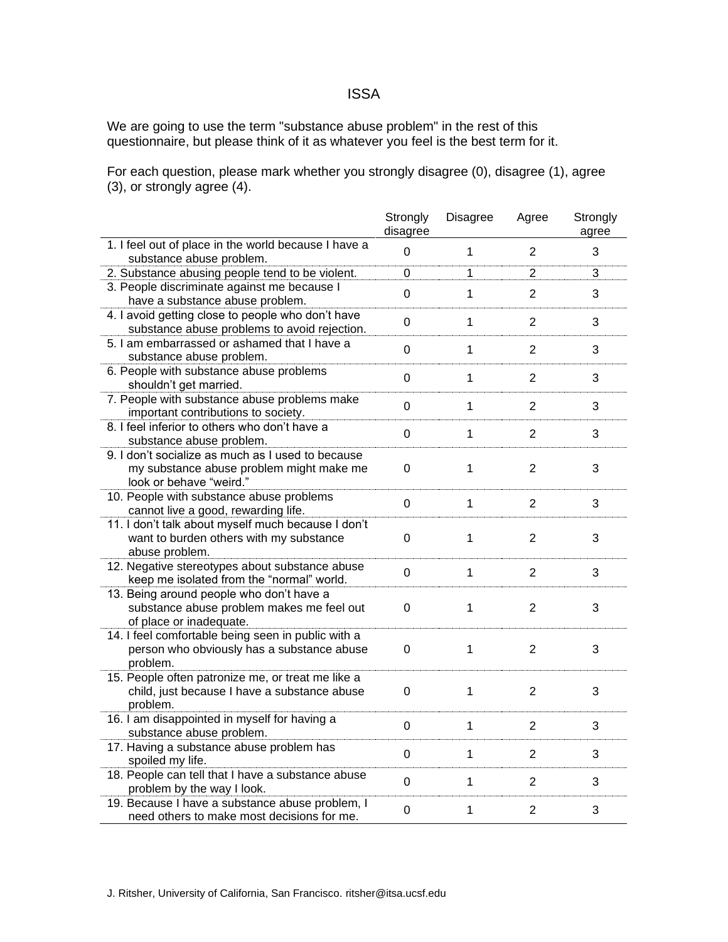## ISSA

We are going to use the term "substance abuse problem" in the rest of this questionnaire, but please think of it as whatever you feel is the best term for it.

For each question, please mark whether you strongly disagree (0), disagree (1), agree (3), or strongly agree (4).

|                                                                                                                          | Strongly<br>disagree | Disagree     | Agree          | Strongly<br>agree |
|--------------------------------------------------------------------------------------------------------------------------|----------------------|--------------|----------------|-------------------|
| 1. I feel out of place in the world because I have a<br>substance abuse problem.                                         | 0                    | $\mathbf{1}$ | $\overline{2}$ | 3                 |
| 2. Substance abusing people tend to be violent.                                                                          | 0                    | 1            | $\overline{2}$ | 3                 |
| 3. People discriminate against me because I<br>have a substance abuse problem.                                           | 0                    | $\mathbf{1}$ | $\overline{2}$ | 3                 |
| 4. I avoid getting close to people who don't have<br>substance abuse problems to avoid rejection.                        | $\mathbf 0$          | 1            | $\overline{2}$ | 3                 |
| 5. I am embarrassed or ashamed that I have a<br>substance abuse problem.                                                 | 0                    | $\mathbf{1}$ | $\overline{2}$ | 3                 |
| 6. People with substance abuse problems<br>shouldn't get married.                                                        | $\mathbf 0$          | $\mathbf 1$  | $\overline{2}$ | 3                 |
| 7. People with substance abuse problems make<br>important contributions to society.                                      | $\mathbf 0$          | $\mathbf 1$  | $\overline{2}$ | 3                 |
| 8. I feel inferior to others who don't have a<br>substance abuse problem.                                                | 0                    | $\mathbf{1}$ | $\overline{2}$ | 3                 |
| 9. I don't socialize as much as I used to because<br>my substance abuse problem might make me<br>look or behave "weird." | $\Omega$             | 1            | $\mathbf{2}$   | 3                 |
| 10. People with substance abuse problems<br>cannot live a good, rewarding life.                                          | $\Omega$             | $\mathbf 1$  | $\overline{2}$ | 3                 |
| 11. I don't talk about myself much because I don't<br>want to burden others with my substance<br>abuse problem.          | $\mathbf 0$          | $\mathbf{1}$ | $\overline{2}$ | 3                 |
| 12. Negative stereotypes about substance abuse<br>keep me isolated from the "normal" world.                              | $\mathbf 0$          | $\mathbf{1}$ | $\overline{2}$ | 3                 |
| 13. Being around people who don't have a<br>substance abuse problem makes me feel out<br>of place or inadequate.         | $\mathbf 0$          | $\mathbf{1}$ | $\overline{2}$ | 3                 |
| 14. I feel comfortable being seen in public with a<br>person who obviously has a substance abuse<br>problem.             | $\mathbf 0$          | 1            | $\overline{2}$ | 3                 |
| 15. People often patronize me, or treat me like a<br>child, just because I have a substance abuse<br>problem.            | 0                    | $\mathbf{1}$ | $\overline{2}$ | 3                 |
| 16. I am disappointed in myself for having a<br>substance abuse problem.                                                 | $\mathbf 0$          | $\mathbf{1}$ | $\overline{2}$ | 3                 |
| 17. Having a substance abuse problem has<br>spoiled my life.                                                             | 0                    | 1            | $\mathbf{2}$   | 3                 |
| 18. People can tell that I have a substance abuse<br>problem by the way I look.                                          | $\mathbf 0$          | $\mathbf 1$  | $\overline{2}$ | 3                 |
| 19. Because I have a substance abuse problem, I<br>need others to make most decisions for me.                            | $\boldsymbol{0}$     | 1            | $\overline{2}$ | 3                 |